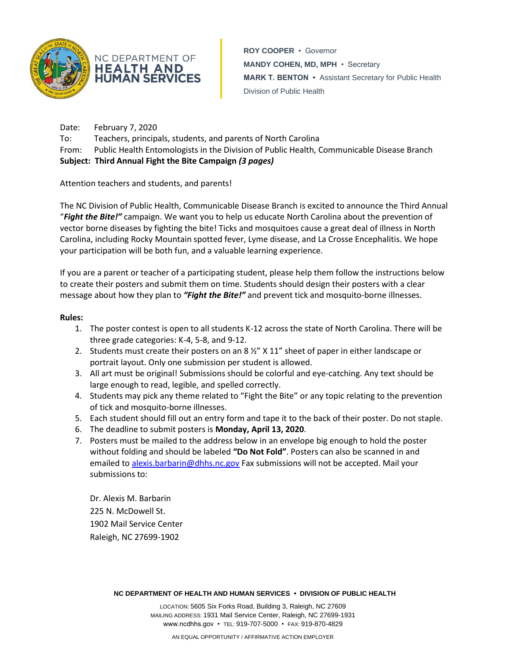

**ROY COOPER** • Governor **MANDY COHEN, MD, MPH** • Secretary **MARK T. BENTON •** Assistant Secretary for Public Health Division of Public Health

Date: February 7, 2020 To: Teachers, principals, students, and parents of North Carolina From: Public Health Entomologists in the Division of Public Health, Communicable Disease Branch **Subject: Third Annual Fight the Bite Campaign** *(3 pages)*

Attention teachers and students, and parents!

NC DEPARTMENT OF **HEALTH AND HUMAN SERVICES** 

The NC Division of Public Health, Communicable Disease Branch is excited to announce the Third Annual "*Fight the Bite!"* campaign. We want you to help us educate North Carolina about the prevention of vector borne diseases by fighting the bite! Ticks and mosquitoes cause a great deal of illness in North Carolina, including Rocky Mountain spotted fever, Lyme disease, and La Crosse Encephalitis. We hope your participation will be both fun, and a valuable learning experience.

If you are a parent or teacher of a participating student, please help them follow the instructions below to create their posters and submit them on time. Students should design their posters with a clear message about how they plan to *"Fight the Bite!"* and prevent tick and mosquito-borne illnesses.

#### **Rules:**

- 1. The poster contest is open to all students K-12 across the state of North Carolina. There will be three grade categories: K-4, 5-8, and 9-12.
- 2. Students must create their posters on an 8 ½" X 11" sheet of paper in either landscape or portrait layout. Only one submission per student is allowed.
- 3. All art must be original! Submissions should be colorful and eye-catching. Any text should be large enough to read, legible, and spelled correctly.
- 4. Students may pick any theme related to "Fight the Bite" or any topic relating to the prevention of tick and mosquito-borne illnesses.
- 5. Each student should fill out an entry form and tape it to the back of their poster. Do not staple.
- 6. The deadline to submit posters is **Monday, April 13, 2020**.
- 7. Posters must be mailed to the address below in an envelope big enough to hold the poster without folding and should be labeled **"Do Not Fold"**. Posters can also be scanned in and emailed to [alexis.barbarin@dhhs.nc.gov](mailto:alexis.barbarin@dhhs.nc.gov) Fax submissions will not be accepted. Mail your submissions to:

Dr. Alexis M. Barbarin 225 N. McDowell St. 1902 Mail Service Center Raleigh, NC 27699-1902

**NC DEPARTMENT OF HEALTH AND HUMAN SERVICES • DIVISION OF PUBLIC HEALTH**

LOCATION: 5605 Six Forks Road, Building 3, Raleigh, NC 27609 MAILING ADDRESS: 1931 Mail Service Center, Raleigh, NC 27699-1931 www.ncdhhs.gov • TEL: 919-707-5000 • FAX: 919-870-4829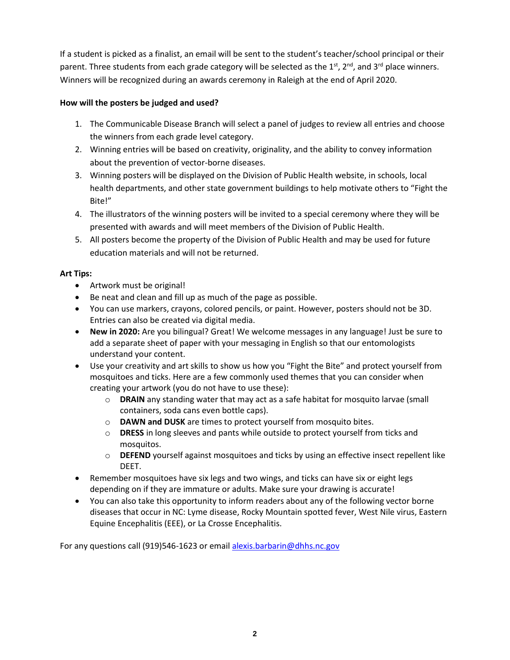If a student is picked as a finalist, an email will be sent to the student's teacher/school principal or their parent. Three students from each grade category will be selected as the 1<sup>st</sup>, 2<sup>nd</sup>, and 3<sup>rd</sup> place winners. Winners will be recognized during an awards ceremony in Raleigh at the end of April 2020.

#### **How will the posters be judged and used?**

- 1. The Communicable Disease Branch will select a panel of judges to review all entries and choose the winners from each grade level category.
- 2. Winning entries will be based on creativity, originality, and the ability to convey information about the prevention of vector-borne diseases.
- 3. Winning posters will be displayed on the Division of Public Health website, in schools, local health departments, and other state government buildings to help motivate others to "Fight the Bite!"
- 4. The illustrators of the winning posters will be invited to a special ceremony where they will be presented with awards and will meet members of the Division of Public Health.
- 5. All posters become the property of the Division of Public Health and may be used for future education materials and will not be returned.

### **Art Tips:**

- Artwork must be original!
- Be neat and clean and fill up as much of the page as possible.
- You can use markers, crayons, colored pencils, or paint. However, posters should not be 3D. Entries can also be created via digital media.
- **New in 2020:** Are you bilingual? Great! We welcome messages in any language! Just be sure to add a separate sheet of paper with your messaging in English so that our entomologists understand your content.
- Use your creativity and art skills to show us how you "Fight the Bite" and protect yourself from mosquitoes and ticks. Here are a few commonly used themes that you can consider when creating your artwork (you do not have to use these):
	- o **DRAIN** any standing water that may act as a safe habitat for mosquito larvae (small containers, soda cans even bottle caps).
	- o **DAWN and DUSK** are times to protect yourself from mosquito bites.
	- o **DRESS** in long sleeves and pants while outside to protect yourself from ticks and mosquitos.
	- o **DEFEND** yourself against mosquitoes and ticks by using an effective insect repellent like DEET.
- Remember mosquitoes have six legs and two wings, and ticks can have six or eight legs depending on if they are immature or adults. Make sure your drawing is accurate!
- You can also take this opportunity to inform readers about any of the following vector borne diseases that occur in NC: Lyme disease, Rocky Mountain spotted fever, West Nile virus, Eastern Equine Encephalitis (EEE), or La Crosse Encephalitis.

For any questions call (919)546-1623 or emai[l alexis.barbarin@dhhs.nc.gov](mailto:alexis.barbarin@dhhs.nc.gov)